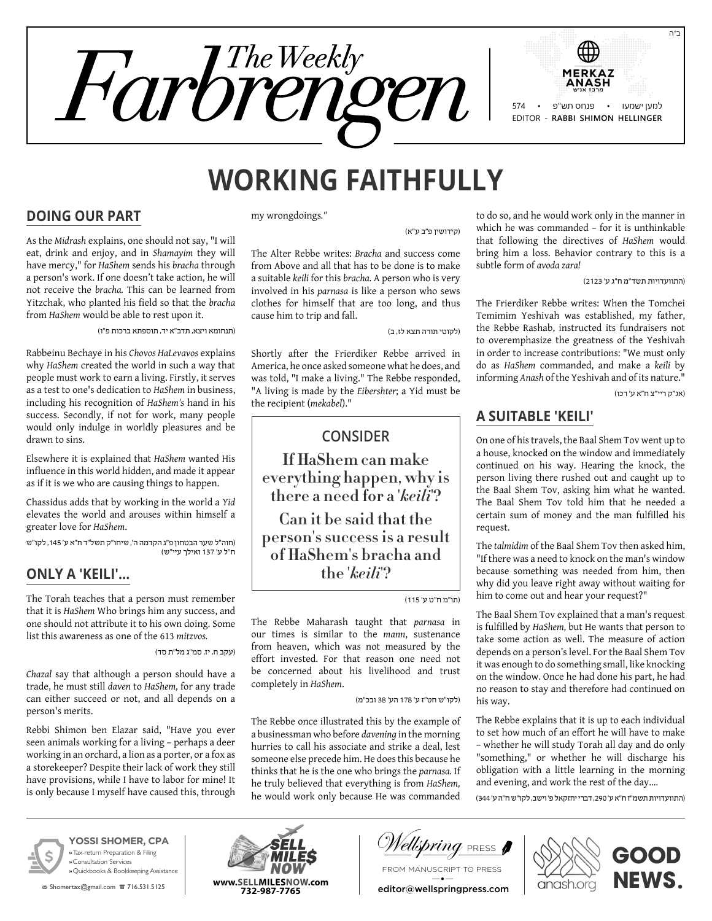

# **Working Faithfully**

#### **Doing Our Part**

As the *Midrash* explains, one should not say, "I will eat, drink and enjoy, and in *Shamayim* they will have mercy," for *HaShem* sends his *bracha* through a person's work. If one doesn't take action, he will not receive the *bracha.* This can be learned from Yitzchak, who planted his field so that the *bracha* from *HaShem* would be able to rest upon it.

)תנחומא ויצא, תדב"א יד, תוספתא ברכות פ"ו(

Rabbeinu Bechaye in his *Chovos HaLevavos* explains why *HaShem* created the world in such a way that people must work to earn a living. Firstly, it serves as a test to one's dedication to *HaShem* in business, including his recognition of *HaShem's* hand in his success. Secondly, if not for work, many people would only indulge in worldly pleasures and be drawn to sins.

Elsewhere it is explained that *HaShem* wanted His influence in this world hidden, and made it appear as if it is we who are causing things to happen.

Chassidus adds that by working in the world a *Yid* elevates the world and arouses within himself a greater love for *HaShem*.

)חוה"ל שער הבטחון פ"ג הקדמה ה', שיחו"ק תשל"ד ח"א ע' ,145 לקו"ש ח"ל ע' 137 ואילך עיי"ש(

## **Only a 'Keili'…**

The Torah teaches that a person must remember that it is *HaShem* Who brings him any success, and one should not attribute it to his own doing. Some list this awareness as one of the 613 *mitzvos.*

)עקב ח, יז, סמ"ג מל"ת סד(

*Chazal* say that although a person should have a trade, he must still *daven* to *HaShem,* for any trade can either succeed or not, and all depends on a person's merits.

Rebbi Shimon ben Elazar said, "Have you ever seen animals working for a living – perhaps a deer working in an orchard, a lion as a porter, or a fox as a storekeeper? Despite their lack of work they still have provisions, while I have to labor for mine! It is only because I myself have caused this, through my wrongdoings*."*

)קידושין פ"ב ע"א(

The Alter Rebbe writes: *Bracha* and success come from Above and all that has to be done is to make a suitable *keili* for this *bracha.* A person who is very involved in his *parnasa* is like a person who sews clothes for himself that are too long, and thus cause him to trip and fall.

(לקוטי תורה תצא לז, ב)

Shortly after the Frierdiker Rebbe arrived in America, he once asked someone what he does, and was told, "I make a living." The Rebbe responded, "A living is made by the *Eibershter*; a Yid must be the recipient (*mekabel*)."

## **Consider**

**If HaShem can make everything happen, why is there a need for a '***keili***'?**

**Can it be said that the person's success is a result of HaShem's bracha and the '***keili***'?**

)תו"מ ח"ט ע' 115(

The Rebbe Maharash taught that *parnasa* in our times is similar to the *mann*, sustenance from heaven, which was not measured by the effort invested. For that reason one need not be concerned about his livelihood and trust completely in *HaShem*.

)לקו"ש חט"ז ע' 178 הע' 38 ובכ"מ(

The Rebbe once illustrated this by the example of a businessman who before *davening* in the morning hurries to call his associate and strike a deal, lest someone else precede him. He does this because he thinks that he is the one who brings the *parnasa.* If he truly believed that everything is from *HaShem,* he would work only because He was commanded

to do so, and he would work only in the manner in which he was commanded – for it is unthinkable that following the directives of *HaShem* would bring him a loss. Behavior contrary to this is a subtle form of *avoda zara!*

)התוועדויות תשד"מ ח"ג ע' 2123(

The Frierdiker Rebbe writes: When the Tomchei Temimim Yeshivah was established, my father, the Rebbe Rashab, instructed its fundraisers not to overemphasize the greatness of the Yeshivah in order to increase contributions: "We must only do as *HaShem* commanded, and make a *keili* by informing *Anash* of the Yeshivah and of its nature."

)אג"ק ריי"צ ח"א ע' רכו(

## **A Suitable 'Keili'**

On one of his travels, the Baal Shem Tov went up to a house, knocked on the window and immediately continued on his way. Hearing the knock, the person living there rushed out and caught up to the Baal Shem Tov, asking him what he wanted. The Baal Shem Tov told him that he needed a certain sum of money and the man fulfilled his request.

The *talmidim* of the Baal Shem Tov then asked him, "If there was a need to knock on the man's window because something was needed from him, then why did you leave right away without waiting for him to come out and hear your request?"

The Baal Shem Tov explained that a man's request is fulfilled by *HaShem,* but He wants that person to take some action as well. The measure of action depends on a person's level. For the Baal Shem Tov it was enough to do something small, like knocking on the window. Once he had done his part, he had no reason to stay and therefore had continued on his way.

The Rebbe explains that it is up to each individual to set how much of an effort he will have to make – whether he will study Torah all day and do only "something," or whether he will discharge his obligation with a little learning in the morning and evening, and work the rest of the day….

)התוועדויות תשמ"ז ח"א ע' ,290 דברי יחזקאל פ' וישב, לקו"ש ח"ה ע' 344(



**YOSSI SHOMER, CPA »** Tax-return Preparation & Filing **»** Consultation Services **»** Quickbooks & Bookkeeping Assistance

**图 Shomertax@gmail.com 盲 716.531.5125** 



*ellsbring* Press **A** 

From manuscript to press